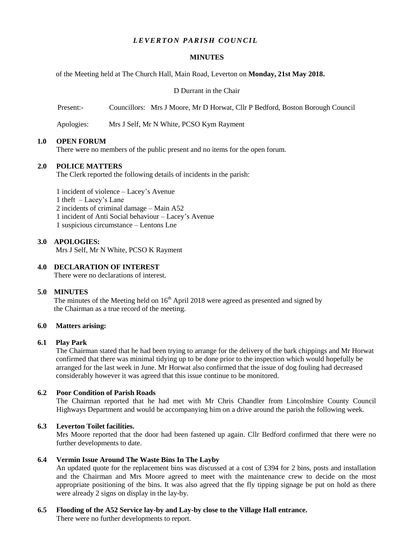## *LEVERTON PARISH COUNCIL*

#### **MINUTES**

of the Meeting held at The Church Hall, Main Road, Leverton on **Monday, 21st May 2018.**

D Durrant in the Chair

Present:- Councillors: Mrs J Moore, Mr D Horwat, Cllr P Bedford, Boston Borough Council

Apologies: Mrs J Self, Mr N White, PCSO Kym Rayment

#### **1.0 OPEN FORUM**

There were no members of the public present and no items for the open forum.

#### **2.0 POLICE MATTERS**

The Clerk reported the following details of incidents in the parish:

1 incident of violence – Lacey's Avenue 1 theft – Lacey's Lane 2 incidents of criminal damage – Main A52 1 incident of Anti Social behaviour – Lacey's Avenue 1 suspicious circumstance – Lentons Lne

#### **3.0 APOLOGIES:**

Mrs J Self, Mr N White, PCSO K Rayment

## **4.0 DECLARATION OF INTEREST**

There were no declarations of interest.

## **5.0 MINUTES**

The minutes of the Meeting held on  $16<sup>th</sup>$  April 2018 were agreed as presented and signed by the Chairman as a true record of the meeting.

#### **6.0 Matters arising:**

#### **6.1 Play Park**

The Chairman stated that he had been trying to arrange for the delivery of the bark chippings and Mr Horwat confirmed that there was minimal tidying up to be done prior to the inspection which would hopefully be arranged for the last week in June. Mr Horwat also confirmed that the issue of dog fouling had decreased considerably however it was agreed that this issue continue to be monitored.

#### **6.2 Poor Condition of Parish Roads**

The Chairman reported that he had met with Mr Chris Chandler from Lincolnshire County Council Highways Department and would be accompanying him on a drive around the parish the following week.

## **6.3 Leverton Toilet facilities.**

Mrs Moore reported that the door had been fastened up again. Cllr Bedford confirmed that there were no further developments to date.

## **6.4 Vermin Issue Around The Waste Bins In The Layby**

An updated quote for the replacement bins was discussed at a cost of £394 for 2 bins, posts and installation and the Chairman and Mrs Moore agreed to meet with the maintenance crew to decide on the most appropriate positioning of the bins. It was also agreed that the fly tipping signage be put on hold as there were already 2 signs on display in the lay-by.

# **6.5 Flooding of the A52 Service lay-by and Lay-by close to the Village Hall entrance.**

There were no further developments to report.